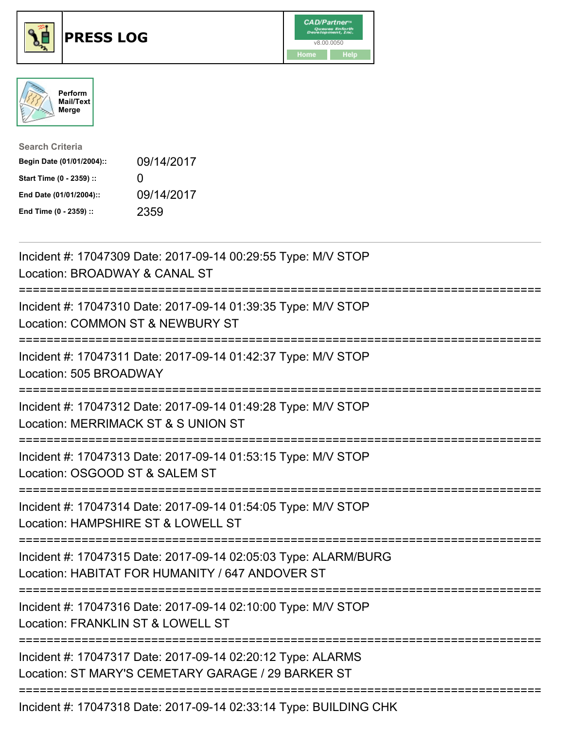





| <b>Search Criteria</b>    |                   |
|---------------------------|-------------------|
| Begin Date (01/01/2004):: | 09/14/2017        |
| Start Time (0 - 2359) ::  | $\mathbf{\Omega}$ |
| End Date (01/01/2004)::   | 09/14/2017        |
| End Time (0 - 2359) ::    | 2359              |

| Incident #: 17047309 Date: 2017-09-14 00:29:55 Type: M/V STOP<br>Location: BROADWAY & CANAL ST                                                    |
|---------------------------------------------------------------------------------------------------------------------------------------------------|
| Incident #: 17047310 Date: 2017-09-14 01:39:35 Type: M/V STOP<br>Location: COMMON ST & NEWBURY ST<br>====================                         |
| Incident #: 17047311 Date: 2017-09-14 01:42:37 Type: M/V STOP<br>Location: 505 BROADWAY<br>==============                                         |
| Incident #: 17047312 Date: 2017-09-14 01:49:28 Type: M/V STOP<br>Location: MERRIMACK ST & S UNION ST<br>========================                  |
| Incident #: 17047313 Date: 2017-09-14 01:53:15 Type: M/V STOP<br>Location: OSGOOD ST & SALEM ST                                                   |
| Incident #: 17047314 Date: 2017-09-14 01:54:05 Type: M/V STOP<br>Location: HAMPSHIRE ST & LOWELL ST                                               |
| Incident #: 17047315 Date: 2017-09-14 02:05:03 Type: ALARM/BURG<br>Location: HABITAT FOR HUMANITY / 647 ANDOVER ST<br>--------------------------- |
| Incident #: 17047316 Date: 2017-09-14 02:10:00 Type: M/V STOP<br>Location: FRANKLIN ST & LOWELL ST<br>===========================                 |
| Incident #: 17047317 Date: 2017-09-14 02:20:12 Type: ALARMS<br>Location: ST MARY'S CEMETARY GARAGE / 29 BARKER ST                                 |
| Incident #: 17047318 Date: 2017-09-14 02:33:14 Type: BUILDING CHK                                                                                 |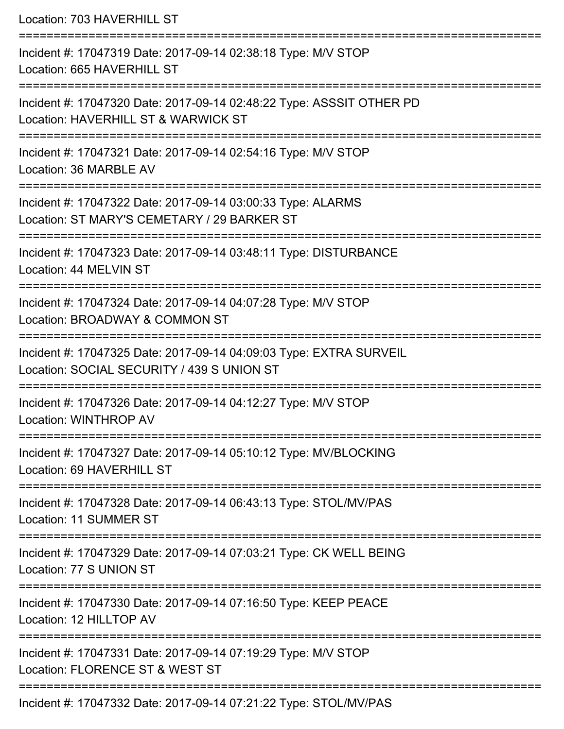| Location: 703 HAVERHILL ST                                                                                                                 |
|--------------------------------------------------------------------------------------------------------------------------------------------|
| Incident #: 17047319 Date: 2017-09-14 02:38:18 Type: M/V STOP<br>Location: 665 HAVERHILL ST                                                |
| Incident #: 17047320 Date: 2017-09-14 02:48:22 Type: ASSSIT OTHER PD<br>Location: HAVERHILL ST & WARWICK ST<br>=========================== |
| Incident #: 17047321 Date: 2017-09-14 02:54:16 Type: M/V STOP<br>Location: 36 MARBLE AV                                                    |
| Incident #: 17047322 Date: 2017-09-14 03:00:33 Type: ALARMS<br>Location: ST MARY'S CEMETARY / 29 BARKER ST<br>:=========================   |
| Incident #: 17047323 Date: 2017-09-14 03:48:11 Type: DISTURBANCE<br>Location: 44 MELVIN ST                                                 |
| Incident #: 17047324 Date: 2017-09-14 04:07:28 Type: M/V STOP<br>Location: BROADWAY & COMMON ST                                            |
| Incident #: 17047325 Date: 2017-09-14 04:09:03 Type: EXTRA SURVEIL<br>Location: SOCIAL SECURITY / 439 S UNION ST                           |
| Incident #: 17047326 Date: 2017-09-14 04:12:27 Type: M/V STOP<br>Location: WINTHROP AV                                                     |
| Incident #: 17047327 Date: 2017-09-14 05:10:12 Type: MV/BLOCKING<br>Location: 69 HAVERHILL ST                                              |
| Incident #: 17047328 Date: 2017-09-14 06:43:13 Type: STOL/MV/PAS<br>Location: 11 SUMMER ST                                                 |
| Incident #: 17047329 Date: 2017-09-14 07:03:21 Type: CK WELL BEING<br>Location: 77 S UNION ST                                              |
| Incident #: 17047330 Date: 2017-09-14 07:16:50 Type: KEEP PEACE<br>Location: 12 HILLTOP AV                                                 |
| Incident #: 17047331 Date: 2017-09-14 07:19:29 Type: M/V STOP<br>Location: FLORENCE ST & WEST ST                                           |
| Incident #: 17047332 Date: 2017-09-14 07:21:22 Type: STOL/MV/PAS                                                                           |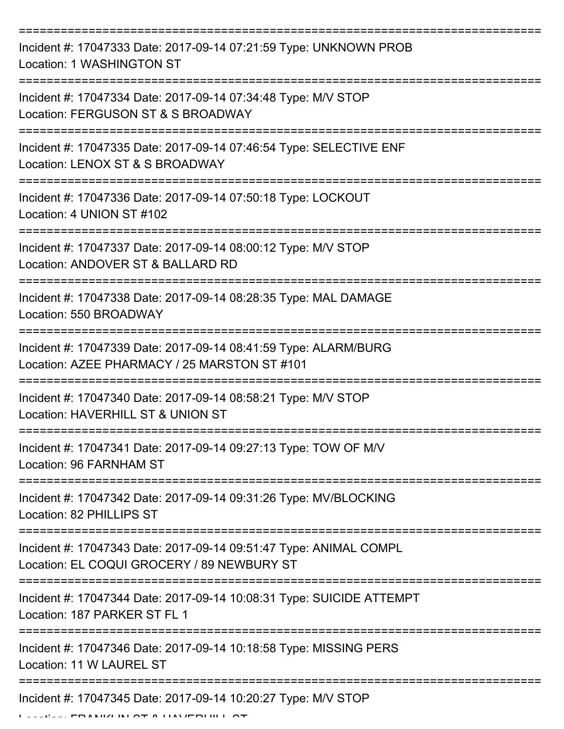| Incident #: 17047333 Date: 2017-09-14 07:21:59 Type: UNKNOWN PROB<br>Location: 1 WASHINGTON ST                        |
|-----------------------------------------------------------------------------------------------------------------------|
| Incident #: 17047334 Date: 2017-09-14 07:34:48 Type: M/V STOP<br>Location: FERGUSON ST & S BROADWAY                   |
| Incident #: 17047335 Date: 2017-09-14 07:46:54 Type: SELECTIVE ENF<br>Location: LENOX ST & S BROADWAY                 |
| Incident #: 17047336 Date: 2017-09-14 07:50:18 Type: LOCKOUT<br>Location: 4 UNION ST #102                             |
| Incident #: 17047337 Date: 2017-09-14 08:00:12 Type: M/V STOP<br>Location: ANDOVER ST & BALLARD RD<br>:============== |
| Incident #: 17047338 Date: 2017-09-14 08:28:35 Type: MAL DAMAGE<br>Location: 550 BROADWAY                             |
| Incident #: 17047339 Date: 2017-09-14 08:41:59 Type: ALARM/BURG<br>Location: AZEE PHARMACY / 25 MARSTON ST #101       |
| Incident #: 17047340 Date: 2017-09-14 08:58:21 Type: M/V STOP<br>Location: HAVERHILL ST & UNION ST                    |
| Incident #: 17047341 Date: 2017-09-14 09:27:13 Type: TOW OF M/V<br>Location: 96 FARNHAM ST                            |
| Incident #: 17047342 Date: 2017-09-14 09:31:26 Type: MV/BLOCKING<br>Location: 82 PHILLIPS ST                          |
| Incident #: 17047343 Date: 2017-09-14 09:51:47 Type: ANIMAL COMPL<br>Location: EL COQUI GROCERY / 89 NEWBURY ST       |
| Incident #: 17047344 Date: 2017-09-14 10:08:31 Type: SUICIDE ATTEMPT<br>Location: 187 PARKER ST FL 1                  |
| Incident #: 17047346 Date: 2017-09-14 10:18:58 Type: MISSING PERS<br>Location: 11 W LAUREL ST                         |
| Incident #: 17047345 Date: 2017-09-14 10:20:27 Type: M/V STOP<br>FRANIZI IN AT A LIAVERLIILI                          |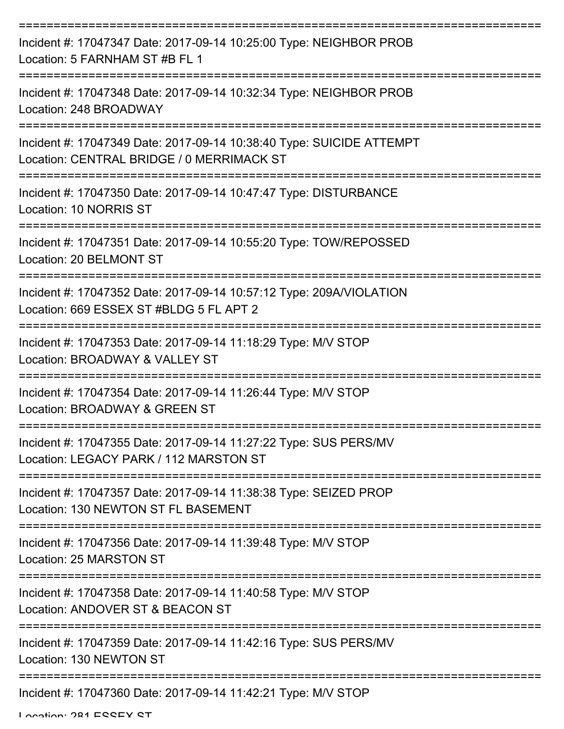| Incident #: 17047347 Date: 2017-09-14 10:25:00 Type: NEIGHBOR PROB<br>Location: 5 FARNHAM ST #B FL 1              |
|-------------------------------------------------------------------------------------------------------------------|
| Incident #: 17047348 Date: 2017-09-14 10:32:34 Type: NEIGHBOR PROB<br>Location: 248 BROADWAY                      |
| Incident #: 17047349 Date: 2017-09-14 10:38:40 Type: SUICIDE ATTEMPT<br>Location: CENTRAL BRIDGE / 0 MERRIMACK ST |
| Incident #: 17047350 Date: 2017-09-14 10:47:47 Type: DISTURBANCE<br>Location: 10 NORRIS ST                        |
| Incident #: 17047351 Date: 2017-09-14 10:55:20 Type: TOW/REPOSSED<br>Location: 20 BELMONT ST                      |
| Incident #: 17047352 Date: 2017-09-14 10:57:12 Type: 209A/VIOLATION<br>Location: 669 ESSEX ST #BLDG 5 FL APT 2    |
| Incident #: 17047353 Date: 2017-09-14 11:18:29 Type: M/V STOP<br>Location: BROADWAY & VALLEY ST                   |
| Incident #: 17047354 Date: 2017-09-14 11:26:44 Type: M/V STOP<br>Location: BROADWAY & GREEN ST                    |
| Incident #: 17047355 Date: 2017-09-14 11:27:22 Type: SUS PERS/MV<br>Location: LEGACY PARK / 112 MARSTON ST        |
| Incident #: 17047357 Date: 2017-09-14 11:38:38 Type: SEIZED PROP<br>Location: 130 NEWTON ST FL BASEMENT           |
| Incident #: 17047356 Date: 2017-09-14 11:39:48 Type: M/V STOP<br>Location: 25 MARSTON ST                          |
| Incident #: 17047358 Date: 2017-09-14 11:40:58 Type: M/V STOP<br>Location: ANDOVER ST & BEACON ST                 |
| Incident #: 17047359 Date: 2017-09-14 11:42:16 Type: SUS PERS/MV<br>Location: 130 NEWTON ST                       |
| Incident #: 17047360 Date: 2017-09-14 11:42:21 Type: M/V STOP                                                     |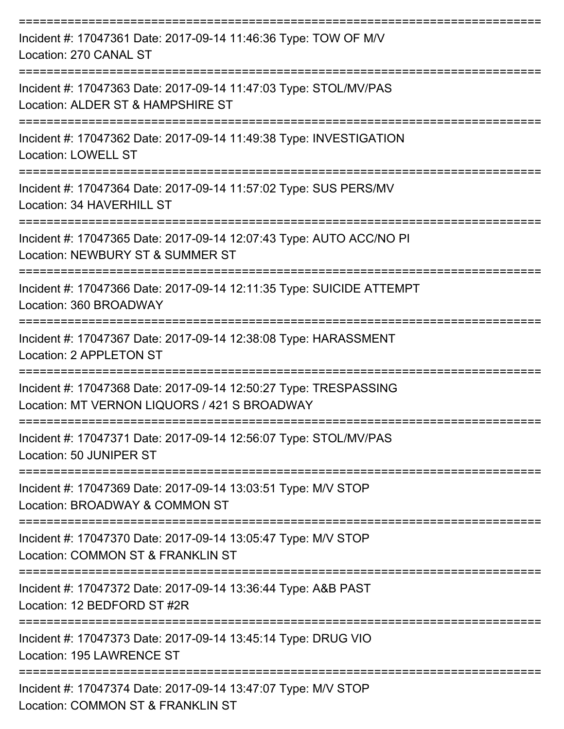| Incident #: 17047361 Date: 2017-09-14 11:46:36 Type: TOW OF M/V<br>Location: 270 CANAL ST                        |
|------------------------------------------------------------------------------------------------------------------|
| Incident #: 17047363 Date: 2017-09-14 11:47:03 Type: STOL/MV/PAS<br>Location: ALDER ST & HAMPSHIRE ST            |
| Incident #: 17047362 Date: 2017-09-14 11:49:38 Type: INVESTIGATION<br><b>Location: LOWELL ST</b>                 |
| Incident #: 17047364 Date: 2017-09-14 11:57:02 Type: SUS PERS/MV<br>Location: 34 HAVERHILL ST                    |
| Incident #: 17047365 Date: 2017-09-14 12:07:43 Type: AUTO ACC/NO PI<br>Location: NEWBURY ST & SUMMER ST          |
| Incident #: 17047366 Date: 2017-09-14 12:11:35 Type: SUICIDE ATTEMPT<br>Location: 360 BROADWAY                   |
| Incident #: 17047367 Date: 2017-09-14 12:38:08 Type: HARASSMENT<br>Location: 2 APPLETON ST                       |
| Incident #: 17047368 Date: 2017-09-14 12:50:27 Type: TRESPASSING<br>Location: MT VERNON LIQUORS / 421 S BROADWAY |
| Incident #: 17047371 Date: 2017-09-14 12:56:07 Type: STOL/MV/PAS<br>Location: 50 JUNIPER ST                      |
| Incident #: 17047369 Date: 2017-09-14 13:03:51 Type: M/V STOP<br>Location: BROADWAY & COMMON ST                  |
| Incident #: 17047370 Date: 2017-09-14 13:05:47 Type: M/V STOP<br>Location: COMMON ST & FRANKLIN ST               |
| Incident #: 17047372 Date: 2017-09-14 13:36:44 Type: A&B PAST<br>Location: 12 BEDFORD ST #2R                     |
| Incident #: 17047373 Date: 2017-09-14 13:45:14 Type: DRUG VIO<br>Location: 195 LAWRENCE ST                       |
| Incident #: 17047374 Date: 2017-09-14 13:47:07 Type: M/V STOP<br>Location: COMMON ST & FRANKLIN ST               |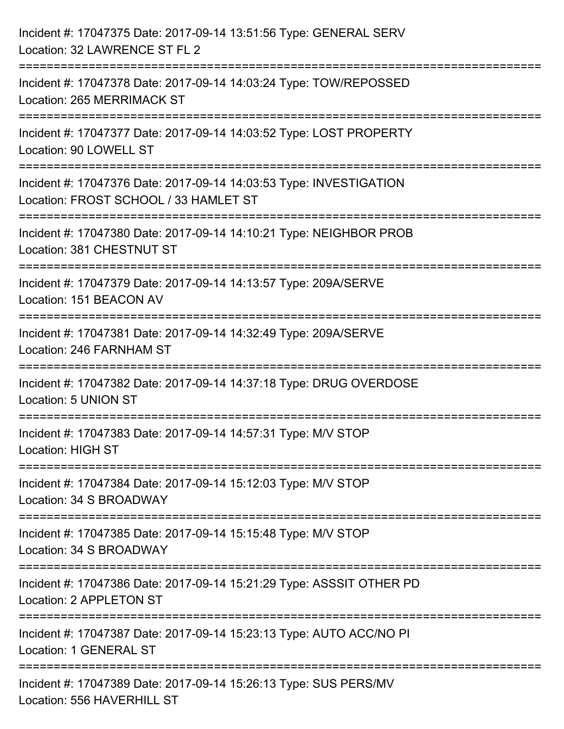| Incident #: 17047375 Date: 2017-09-14 13:51:56 Type: GENERAL SERV<br>Location: 32 LAWRENCE ST FL 2                                                                            |
|-------------------------------------------------------------------------------------------------------------------------------------------------------------------------------|
| ;=============================<br>Incident #: 17047378 Date: 2017-09-14 14:03:24 Type: TOW/REPOSSED<br>Location: 265 MERRIMACK ST                                             |
| Incident #: 17047377 Date: 2017-09-14 14:03:52 Type: LOST PROPERTY<br>Location: 90 LOWELL ST                                                                                  |
| ------------------------------<br>Incident #: 17047376 Date: 2017-09-14 14:03:53 Type: INVESTIGATION<br>Location: FROST SCHOOL / 33 HAMLET ST<br>:=========================== |
| Incident #: 17047380 Date: 2017-09-14 14:10:21 Type: NEIGHBOR PROB<br>Location: 381 CHESTNUT ST                                                                               |
| Incident #: 17047379 Date: 2017-09-14 14:13:57 Type: 209A/SERVE<br>Location: 151 BEACON AV                                                                                    |
| Incident #: 17047381 Date: 2017-09-14 14:32:49 Type: 209A/SERVE<br>Location: 246 FARNHAM ST                                                                                   |
| Incident #: 17047382 Date: 2017-09-14 14:37:18 Type: DRUG OVERDOSE<br>Location: 5 UNION ST                                                                                    |
| Incident #: 17047383 Date: 2017-09-14 14:57:31 Type: M/V STOP<br><b>Location: HIGH ST</b>                                                                                     |
| Incident #: 17047384 Date: 2017-09-14 15:12:03 Type: M/V STOP<br>Location: 34 S BROADWAY                                                                                      |
| Incident #: 17047385 Date: 2017-09-14 15:15:48 Type: M/V STOP<br>Location: 34 S BROADWAY                                                                                      |
| Incident #: 17047386 Date: 2017-09-14 15:21:29 Type: ASSSIT OTHER PD<br>Location: 2 APPLETON ST                                                                               |
| Incident #: 17047387 Date: 2017-09-14 15:23:13 Type: AUTO ACC/NO PI<br>Location: 1 GENERAL ST                                                                                 |
| Incident #: 17047389 Date: 2017-09-14 15:26:13 Type: SUS PERS/MV<br>Location: 556 HAVERHILL ST                                                                                |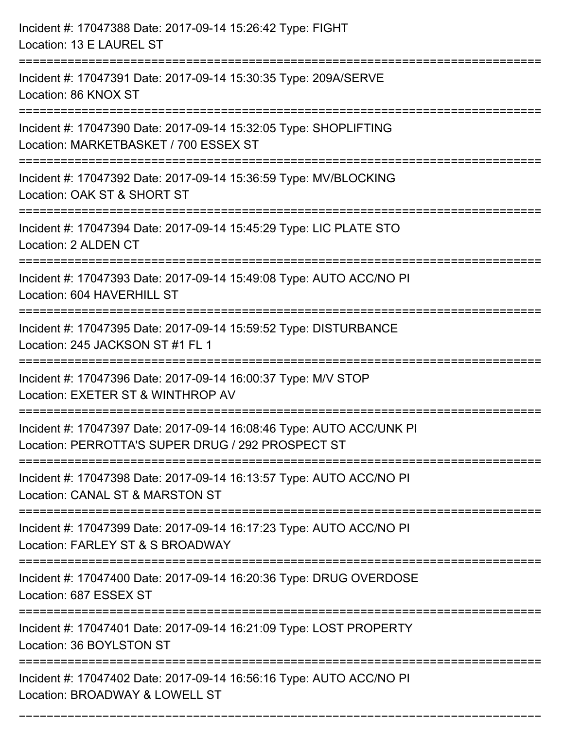| Incident #: 17047388 Date: 2017-09-14 15:26:42 Type: FIGHT<br>Location: 13 E LAUREL ST                                                        |
|-----------------------------------------------------------------------------------------------------------------------------------------------|
| Incident #: 17047391 Date: 2017-09-14 15:30:35 Type: 209A/SERVE<br>Location: 86 KNOX ST                                                       |
| Incident #: 17047390 Date: 2017-09-14 15:32:05 Type: SHOPLIFTING<br>Location: MARKETBASKET / 700 ESSEX ST<br>-------------------------------- |
| Incident #: 17047392 Date: 2017-09-14 15:36:59 Type: MV/BLOCKING<br>Location: OAK ST & SHORT ST                                               |
| Incident #: 17047394 Date: 2017-09-14 15:45:29 Type: LIC PLATE STO<br>Location: 2 ALDEN CT                                                    |
| Incident #: 17047393 Date: 2017-09-14 15:49:08 Type: AUTO ACC/NO PI<br>Location: 604 HAVERHILL ST                                             |
| Incident #: 17047395 Date: 2017-09-14 15:59:52 Type: DISTURBANCE<br>Location: 245 JACKSON ST #1 FL 1                                          |
| Incident #: 17047396 Date: 2017-09-14 16:00:37 Type: M/V STOP<br>Location: EXETER ST & WINTHROP AV                                            |
| Incident #: 17047397 Date: 2017-09-14 16:08:46 Type: AUTO ACC/UNK PI<br>Location: PERROTTA'S SUPER DRUG / 292 PROSPECT ST                     |
| Incident #: 17047398 Date: 2017-09-14 16:13:57 Type: AUTO ACC/NO PI<br>Location: CANAL ST & MARSTON ST                                        |
| Incident #: 17047399 Date: 2017-09-14 16:17:23 Type: AUTO ACC/NO PI<br>Location: FARLEY ST & S BROADWAY                                       |
| Incident #: 17047400 Date: 2017-09-14 16:20:36 Type: DRUG OVERDOSE<br>Location: 687 ESSEX ST                                                  |
| Incident #: 17047401 Date: 2017-09-14 16:21:09 Type: LOST PROPERTY<br>Location: 36 BOYLSTON ST                                                |
| Incident #: 17047402 Date: 2017-09-14 16:56:16 Type: AUTO ACC/NO PI<br>Location: BROADWAY & LOWELL ST                                         |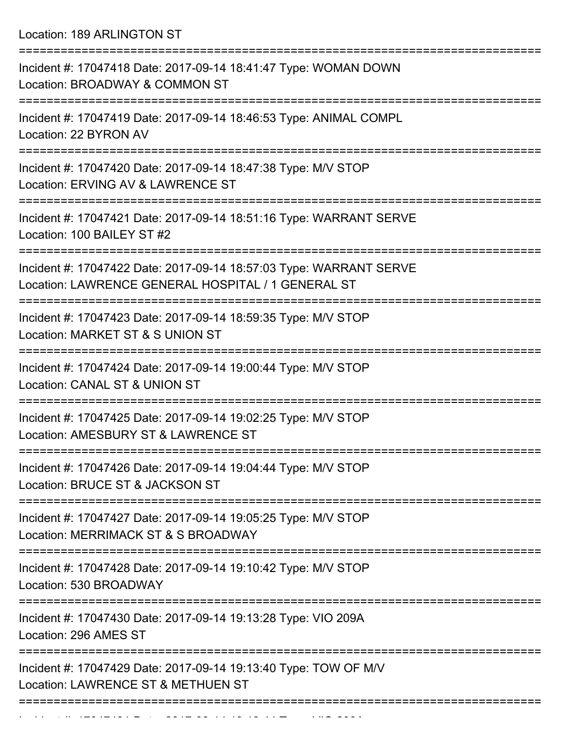Location: 189 ARLINGTON ST

| Incident #: 17047418 Date: 2017-09-14 18:41:47 Type: WOMAN DOWN<br>Location: BROADWAY & COMMON ST                        |
|--------------------------------------------------------------------------------------------------------------------------|
| Incident #: 17047419 Date: 2017-09-14 18:46:53 Type: ANIMAL COMPL<br>Location: 22 BYRON AV                               |
| Incident #: 17047420 Date: 2017-09-14 18:47:38 Type: M/V STOP<br>Location: ERVING AV & LAWRENCE ST                       |
| Incident #: 17047421 Date: 2017-09-14 18:51:16 Type: WARRANT SERVE<br>Location: 100 BAILEY ST #2                         |
| Incident #: 17047422 Date: 2017-09-14 18:57:03 Type: WARRANT SERVE<br>Location: LAWRENCE GENERAL HOSPITAL / 1 GENERAL ST |
| Incident #: 17047423 Date: 2017-09-14 18:59:35 Type: M/V STOP<br>Location: MARKET ST & S UNION ST                        |
| Incident #: 17047424 Date: 2017-09-14 19:00:44 Type: M/V STOP<br>Location: CANAL ST & UNION ST                           |
| Incident #: 17047425 Date: 2017-09-14 19:02:25 Type: M/V STOP<br>Location: AMESBURY ST & LAWRENCE ST                     |
| Incident #: 17047426 Date: 2017-09-14 19:04:44 Type: M/V STOP<br>Location: BRUCE ST & JACKSON ST                         |
| Incident #: 17047427 Date: 2017-09-14 19:05:25 Type: M/V STOP<br>Location: MERRIMACK ST & S BROADWAY                     |
| Incident #: 17047428 Date: 2017-09-14 19:10:42 Type: M/V STOP<br>Location: 530 BROADWAY                                  |
| Incident #: 17047430 Date: 2017-09-14 19:13:28 Type: VIO 209A<br>Location: 296 AMES ST                                   |
| Incident #: 17047429 Date: 2017-09-14 19:13:40 Type: TOW OF M/V<br>Location: LAWRENCE ST & METHUEN ST                    |
|                                                                                                                          |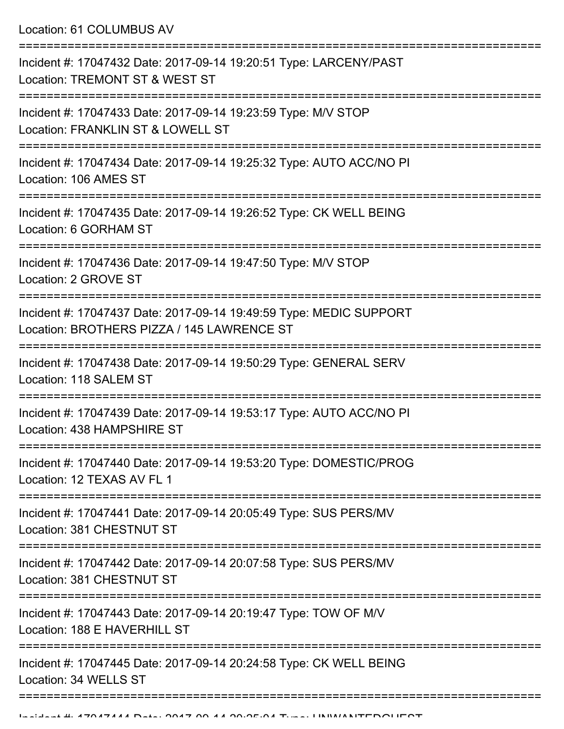Location: 61 COLUMBUS AV

| Incident #: 17047432 Date: 2017-09-14 19:20:51 Type: LARCENY/PAST<br>Location: TREMONT ST & WEST ST                           |
|-------------------------------------------------------------------------------------------------------------------------------|
| Incident #: 17047433 Date: 2017-09-14 19:23:59 Type: M/V STOP<br>Location: FRANKLIN ST & LOWELL ST                            |
| Incident #: 17047434 Date: 2017-09-14 19:25:32 Type: AUTO ACC/NO PI<br>Location: 106 AMES ST                                  |
| Incident #: 17047435 Date: 2017-09-14 19:26:52 Type: CK WELL BEING<br>Location: 6 GORHAM ST                                   |
| Incident #: 17047436 Date: 2017-09-14 19:47:50 Type: M/V STOP<br>Location: 2 GROVE ST                                         |
| Incident #: 17047437 Date: 2017-09-14 19:49:59 Type: MEDIC SUPPORT<br>Location: BROTHERS PIZZA / 145 LAWRENCE ST              |
| Incident #: 17047438 Date: 2017-09-14 19:50:29 Type: GENERAL SERV<br>Location: 118 SALEM ST                                   |
| Incident #: 17047439 Date: 2017-09-14 19:53:17 Type: AUTO ACC/NO PI<br>Location: 438 HAMPSHIRE ST                             |
| Incident #: 17047440 Date: 2017-09-14 19:53:20 Type: DOMESTIC/PROG<br>Location: 12 TEXAS AV FL 1                              |
| Incident #: 17047441 Date: 2017-09-14 20:05:49 Type: SUS PERS/MV<br>Location: 381 CHESTNUT ST                                 |
| Incident #: 17047442 Date: 2017-09-14 20:07:58 Type: SUS PERS/MV<br>Location: 381 CHESTNUT ST                                 |
| ==========================<br>Incident #: 17047443 Date: 2017-09-14 20:19:47 Type: TOW OF M/V<br>Location: 188 E HAVERHILL ST |
| Incident #: 17047445 Date: 2017-09-14 20:24:58 Type: CK WELL BEING<br>Location: 34 WELLS ST                                   |
|                                                                                                                               |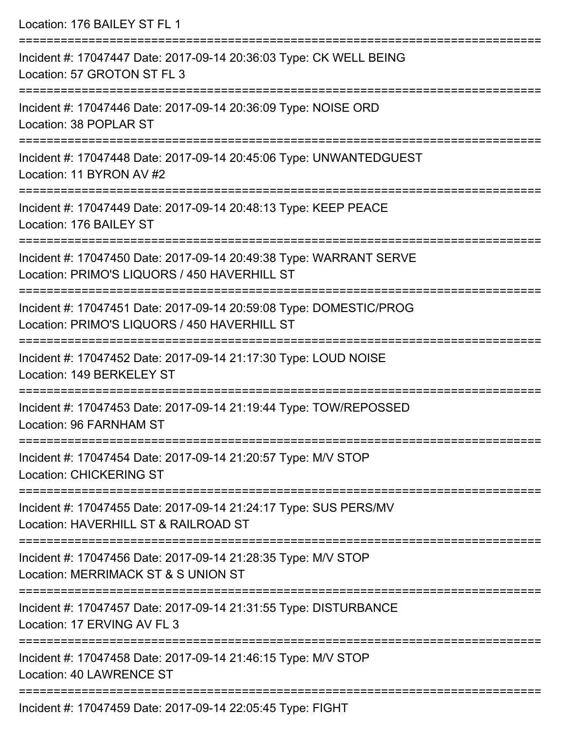| Location: 176 BAILEY ST FL 1                                                                                                           |
|----------------------------------------------------------------------------------------------------------------------------------------|
| Incident #: 17047447 Date: 2017-09-14 20:36:03 Type: CK WELL BEING<br>Location: 57 GROTON ST FL 3                                      |
| Incident #: 17047446 Date: 2017-09-14 20:36:09 Type: NOISE ORD<br>Location: 38 POPLAR ST                                               |
| Incident #: 17047448 Date: 2017-09-14 20:45:06 Type: UNWANTEDGUEST<br>Location: 11 BYRON AV #2<br>;================================    |
| Incident #: 17047449 Date: 2017-09-14 20:48:13 Type: KEEP PEACE<br>Location: 176 BAILEY ST                                             |
| Incident #: 17047450 Date: 2017-09-14 20:49:38 Type: WARRANT SERVE<br>Location: PRIMO'S LIQUORS / 450 HAVERHILL ST                     |
| Incident #: 17047451 Date: 2017-09-14 20:59:08 Type: DOMESTIC/PROG<br>Location: PRIMO'S LIQUORS / 450 HAVERHILL ST                     |
| :=====================================<br>Incident #: 17047452 Date: 2017-09-14 21:17:30 Type: LOUD NOISE<br>Location: 149 BERKELEY ST |
| Incident #: 17047453 Date: 2017-09-14 21:19:44 Type: TOW/REPOSSED<br>Location: 96 FARNHAM ST                                           |
| Incident #: 17047454 Date: 2017-09-14 21:20:57 Type: M/V STOP<br><b>Location: CHICKERING ST</b>                                        |
| Incident #: 17047455 Date: 2017-09-14 21:24:17 Type: SUS PERS/MV<br>Location: HAVERHILL ST & RAILROAD ST                               |
| Incident #: 17047456 Date: 2017-09-14 21:28:35 Type: M/V STOP<br>Location: MERRIMACK ST & S UNION ST                                   |
| Incident #: 17047457 Date: 2017-09-14 21:31:55 Type: DISTURBANCE<br>Location: 17 ERVING AV FL 3                                        |
| Incident #: 17047458 Date: 2017-09-14 21:46:15 Type: M/V STOP<br><b>Location: 40 LAWRENCE ST</b>                                       |
|                                                                                                                                        |

Incident #: 17047459 Date: 2017-09-14 22:05:45 Type: FIGHT